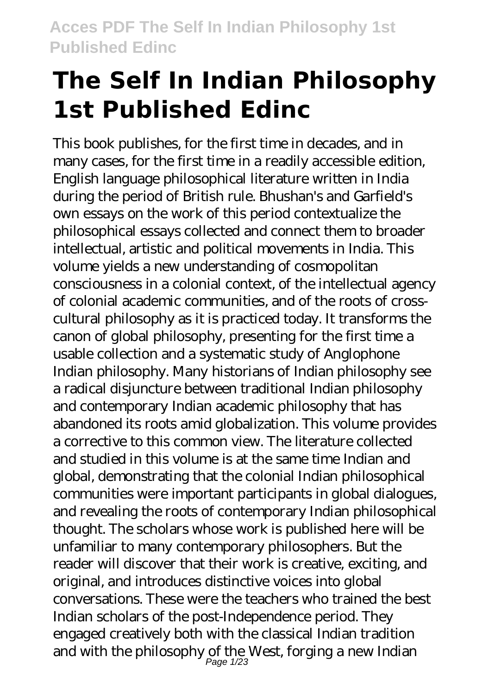# **The Self In Indian Philosophy 1st Published Edinc**

This book publishes, for the first time in decades, and in many cases, for the first time in a readily accessible edition, English language philosophical literature written in India during the period of British rule. Bhushan's and Garfield's own essays on the work of this period contextualize the philosophical essays collected and connect them to broader intellectual, artistic and political movements in India. This volume yields a new understanding of cosmopolitan consciousness in a colonial context, of the intellectual agency of colonial academic communities, and of the roots of crosscultural philosophy as it is practiced today. It transforms the canon of global philosophy, presenting for the first time a usable collection and a systematic study of Anglophone Indian philosophy. Many historians of Indian philosophy see a radical disjuncture between traditional Indian philosophy and contemporary Indian academic philosophy that has abandoned its roots amid globalization. This volume provides a corrective to this common view. The literature collected and studied in this volume is at the same time Indian and global, demonstrating that the colonial Indian philosophical communities were important participants in global dialogues, and revealing the roots of contemporary Indian philosophical thought. The scholars whose work is published here will be unfamiliar to many contemporary philosophers. But the reader will discover that their work is creative, exciting, and original, and introduces distinctive voices into global conversations. These were the teachers who trained the best Indian scholars of the post-Independence period. They engaged creatively both with the classical Indian tradition and with the philosophy of the West, forging a new Indian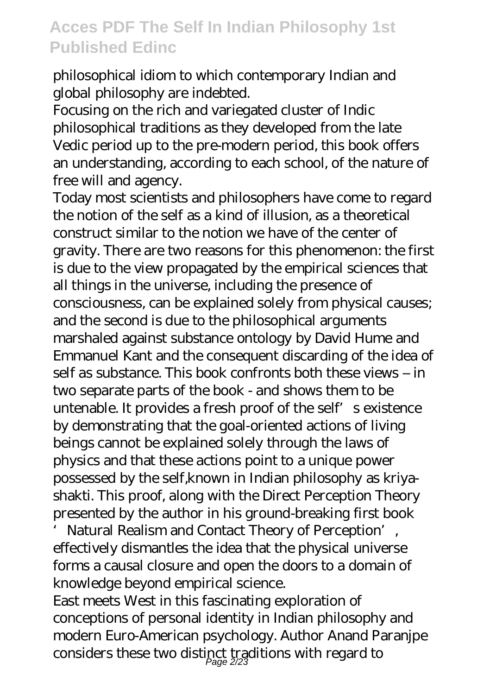philosophical idiom to which contemporary Indian and global philosophy are indebted.

Focusing on the rich and variegated cluster of Indic philosophical traditions as they developed from the late Vedic period up to the pre-modern period, this book offers an understanding, according to each school, of the nature of free will and agency.

Today most scientists and philosophers have come to regard the notion of the self as a kind of illusion, as a theoretical construct similar to the notion we have of the center of gravity. There are two reasons for this phenomenon: the first is due to the view propagated by the empirical sciences that all things in the universe, including the presence of consciousness, can be explained solely from physical causes; and the second is due to the philosophical arguments marshaled against substance ontology by David Hume and Emmanuel Kant and the consequent discarding of the idea of self as substance. This book confronts both these views – in two separate parts of the book - and shows them to be untenable. It provides a fresh proof of the self s existence by demonstrating that the goal-oriented actions of living beings cannot be explained solely through the laws of physics and that these actions point to a unique power possessed by the self,known in Indian philosophy as kriyashakti. This proof, along with the Direct Perception Theory presented by the author in his ground-breaking first book

Natural Realism and Contact Theory of Perception', effectively dismantles the idea that the physical universe forms a causal closure and open the doors to a domain of knowledge beyond empirical science.

East meets West in this fascinating exploration of conceptions of personal identity in Indian philosophy and modern Euro-American psychology. Author Anand Paranjpe considers these two distinct traditions with regard to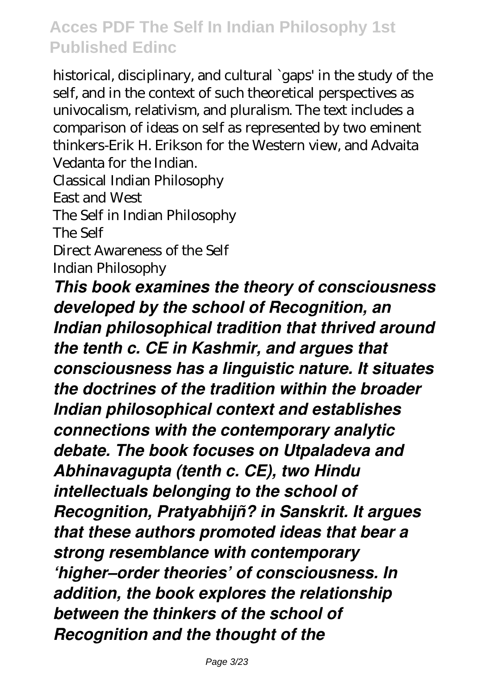historical, disciplinary, and cultural `gaps' in the study of the self, and in the context of such theoretical perspectives as univocalism, relativism, and pluralism. The text includes a comparison of ideas on self as represented by two eminent thinkers-Erik H. Erikson for the Western view, and Advaita Vedanta for the Indian. Classical Indian Philosophy

East and West

The Self in Indian Philosophy

The Self

Direct Awareness of the Self

Indian Philosophy

*This book examines the theory of consciousness developed by the school of Recognition, an Indian philosophical tradition that thrived around the tenth c. CE in Kashmir, and argues that consciousness has a linguistic nature. It situates the doctrines of the tradition within the broader Indian philosophical context and establishes connections with the contemporary analytic debate. The book focuses on Utpaladeva and Abhinavagupta (tenth c. CE), two Hindu intellectuals belonging to the school of Recognition, Pratyabhijñ? in Sanskrit. It argues that these authors promoted ideas that bear a strong resemblance with contemporary 'higher–order theories' of consciousness. In addition, the book explores the relationship between the thinkers of the school of Recognition and the thought of the*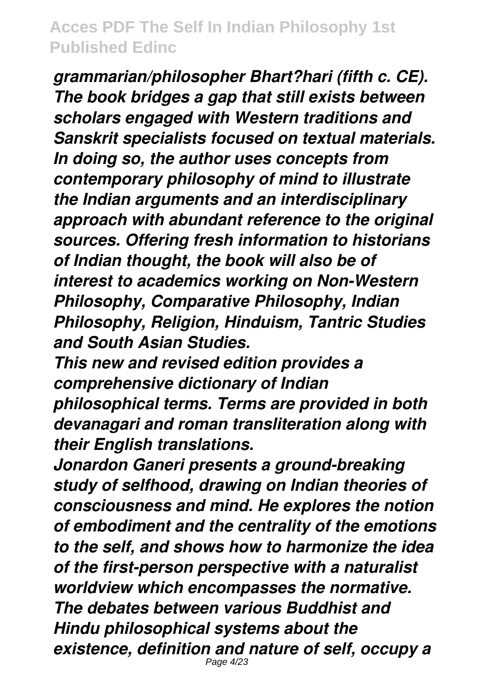*grammarian/philosopher Bhart?hari (fifth c. CE). The book bridges a gap that still exists between scholars engaged with Western traditions and Sanskrit specialists focused on textual materials. In doing so, the author uses concepts from contemporary philosophy of mind to illustrate the Indian arguments and an interdisciplinary approach with abundant reference to the original sources. Offering fresh information to historians of Indian thought, the book will also be of interest to academics working on Non-Western Philosophy, Comparative Philosophy, Indian Philosophy, Religion, Hinduism, Tantric Studies and South Asian Studies.*

*This new and revised edition provides a comprehensive dictionary of Indian*

*philosophical terms. Terms are provided in both devanagari and roman transliteration along with their English translations.*

*Jonardon Ganeri presents a ground-breaking study of selfhood, drawing on Indian theories of consciousness and mind. He explores the notion of embodiment and the centrality of the emotions to the self, and shows how to harmonize the idea of the first-person perspective with a naturalist worldview which encompasses the normative. The debates between various Buddhist and Hindu philosophical systems about the existence, definition and nature of self, occupy a* Page 4/23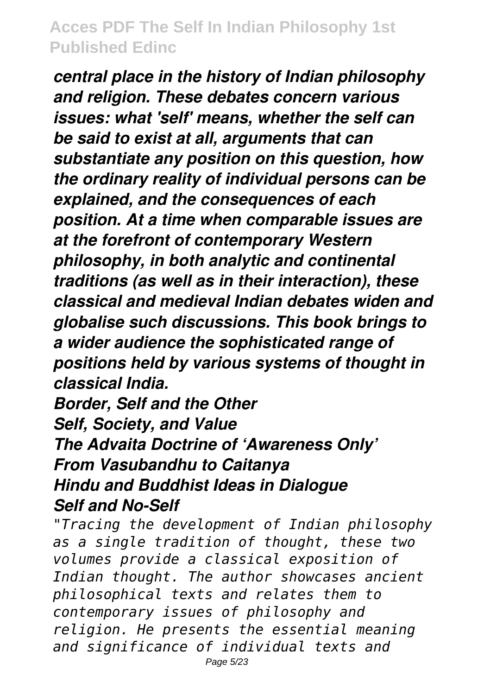*central place in the history of Indian philosophy and religion. These debates concern various issues: what 'self' means, whether the self can be said to exist at all, arguments that can substantiate any position on this question, how the ordinary reality of individual persons can be explained, and the consequences of each position. At a time when comparable issues are at the forefront of contemporary Western philosophy, in both analytic and continental traditions (as well as in their interaction), these classical and medieval Indian debates widen and globalise such discussions. This book brings to a wider audience the sophisticated range of positions held by various systems of thought in classical India.*

*Border, Self and the Other Self, Society, and Value The Advaita Doctrine of 'Awareness Only' From Vasubandhu to Caitanya Hindu and Buddhist Ideas in Dialogue Self and No-Self*

*"Tracing the development of Indian philosophy as a single tradition of thought, these two volumes provide a classical exposition of Indian thought. The author showcases ancient philosophical texts and relates them to contemporary issues of philosophy and religion. He presents the essential meaning and significance of individual texts and* Page 5/23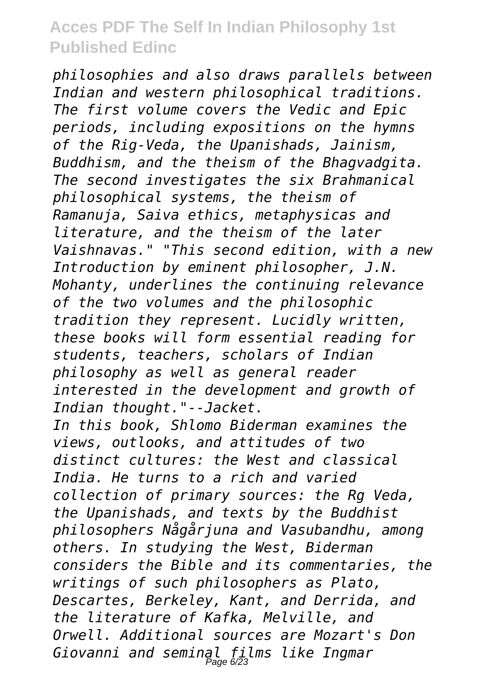*philosophies and also draws parallels between Indian and western philosophical traditions. The first volume covers the Vedic and Epic periods, including expositions on the hymns of the Rig-Veda, the Upanishads, Jainism, Buddhism, and the theism of the Bhagvadgita. The second investigates the six Brahmanical philosophical systems, the theism of Ramanuja, Saiva ethics, metaphysicas and literature, and the theism of the later Vaishnavas." "This second edition, with a new Introduction by eminent philosopher, J.N. Mohanty, underlines the continuing relevance of the two volumes and the philosophic tradition they represent. Lucidly written, these books will form essential reading for students, teachers, scholars of Indian philosophy as well as general reader interested in the development and growth of Indian thought."--Jacket. In this book, Shlomo Biderman examines the views, outlooks, and attitudes of two distinct cultures: the West and classical India. He turns to a rich and varied collection of primary sources: the Rg Veda, the Upanishads, and texts by the Buddhist philosophers Någårjuna and Vasubandhu, among others. In studying the West, Biderman considers the Bible and its commentaries, the writings of such philosophers as Plato, Descartes, Berkeley, Kant, and Derrida, and the literature of Kafka, Melville, and Orwell. Additional sources are Mozart's Don Giovanni and seminal films like Ingmar* Page 6/23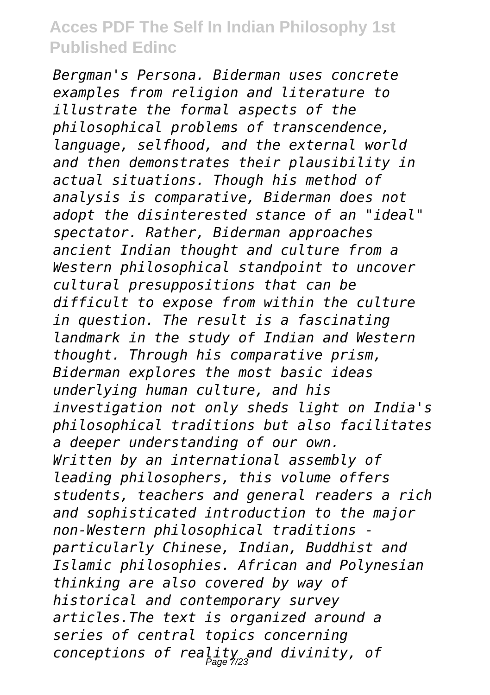*Bergman's Persona. Biderman uses concrete examples from religion and literature to illustrate the formal aspects of the philosophical problems of transcendence, language, selfhood, and the external world and then demonstrates their plausibility in actual situations. Though his method of analysis is comparative, Biderman does not adopt the disinterested stance of an "ideal" spectator. Rather, Biderman approaches ancient Indian thought and culture from a Western philosophical standpoint to uncover cultural presuppositions that can be difficult to expose from within the culture in question. The result is a fascinating landmark in the study of Indian and Western thought. Through his comparative prism, Biderman explores the most basic ideas underlying human culture, and his investigation not only sheds light on India's philosophical traditions but also facilitates a deeper understanding of our own. Written by an international assembly of leading philosophers, this volume offers students, teachers and general readers a rich and sophisticated introduction to the major non-Western philosophical traditions particularly Chinese, Indian, Buddhist and Islamic philosophies. African and Polynesian thinking are also covered by way of historical and contemporary survey articles.The text is organized around a series of central topics concerning conceptions of reality and divinity, of* Page 7/23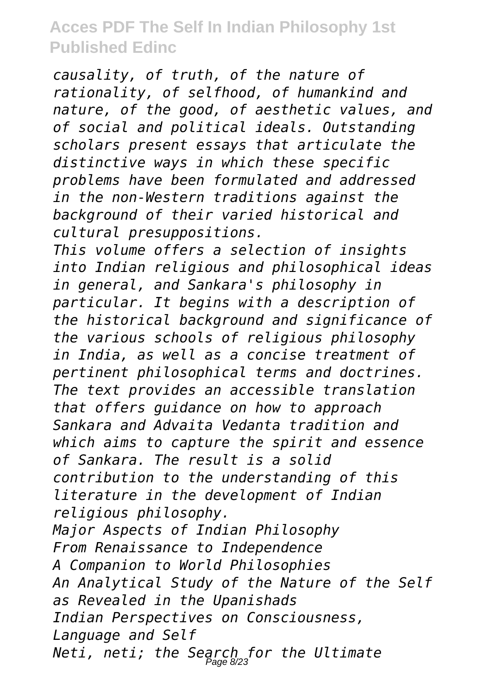*causality, of truth, of the nature of rationality, of selfhood, of humankind and nature, of the good, of aesthetic values, and of social and political ideals. Outstanding scholars present essays that articulate the distinctive ways in which these specific problems have been formulated and addressed in the non-Western traditions against the background of their varied historical and cultural presuppositions.*

*This volume offers a selection of insights into Indian religious and philosophical ideas in general, and Sankara's philosophy in particular. It begins with a description of the historical background and significance of the various schools of religious philosophy in India, as well as a concise treatment of pertinent philosophical terms and doctrines. The text provides an accessible translation that offers guidance on how to approach Sankara and Advaita Vedanta tradition and which aims to capture the spirit and essence of Sankara. The result is a solid contribution to the understanding of this literature in the development of Indian religious philosophy. Major Aspects of Indian Philosophy From Renaissance to Independence A Companion to World Philosophies An Analytical Study of the Nature of the Self as Revealed in the Upanishads Indian Perspectives on Consciousness, Language and Self Neti, neti; the Search for the Ultimate* Page 8/23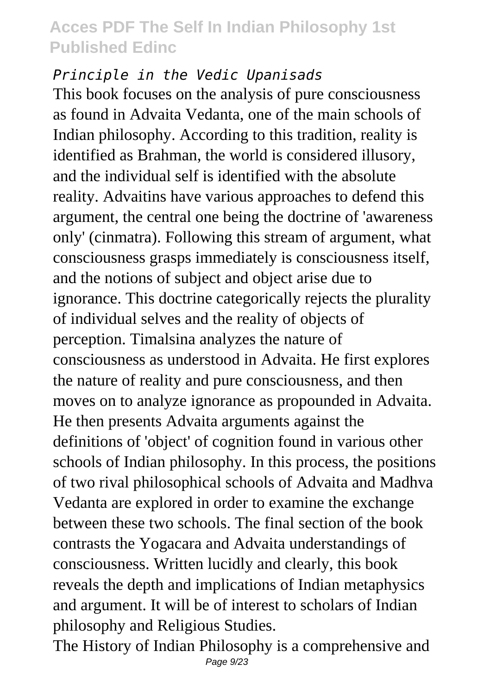#### *Principle in the Vedic Upanisads*

This book focuses on the analysis of pure consciousness as found in Advaita Vedanta, one of the main schools of Indian philosophy. According to this tradition, reality is identified as Brahman, the world is considered illusory, and the individual self is identified with the absolute reality. Advaitins have various approaches to defend this argument, the central one being the doctrine of 'awareness only' (cinmatra). Following this stream of argument, what consciousness grasps immediately is consciousness itself, and the notions of subject and object arise due to ignorance. This doctrine categorically rejects the plurality of individual selves and the reality of objects of perception. Timalsina analyzes the nature of consciousness as understood in Advaita. He first explores the nature of reality and pure consciousness, and then moves on to analyze ignorance as propounded in Advaita. He then presents Advaita arguments against the definitions of 'object' of cognition found in various other schools of Indian philosophy. In this process, the positions of two rival philosophical schools of Advaita and Madhva Vedanta are explored in order to examine the exchange between these two schools. The final section of the book contrasts the Yogacara and Advaita understandings of consciousness. Written lucidly and clearly, this book reveals the depth and implications of Indian metaphysics and argument. It will be of interest to scholars of Indian philosophy and Religious Studies.

The History of Indian Philosophy is a comprehensive and Page 9/23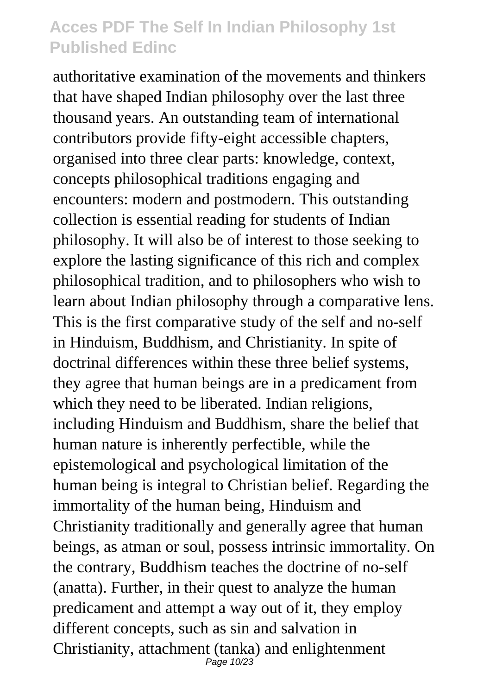authoritative examination of the movements and thinkers that have shaped Indian philosophy over the last three thousand years. An outstanding team of international contributors provide fifty-eight accessible chapters, organised into three clear parts: knowledge, context, concepts philosophical traditions engaging and encounters: modern and postmodern. This outstanding collection is essential reading for students of Indian philosophy. It will also be of interest to those seeking to explore the lasting significance of this rich and complex philosophical tradition, and to philosophers who wish to learn about Indian philosophy through a comparative lens. This is the first comparative study of the self and no-self in Hinduism, Buddhism, and Christianity. In spite of doctrinal differences within these three belief systems, they agree that human beings are in a predicament from which they need to be liberated. Indian religions, including Hinduism and Buddhism, share the belief that human nature is inherently perfectible, while the epistemological and psychological limitation of the human being is integral to Christian belief. Regarding the immortality of the human being, Hinduism and Christianity traditionally and generally agree that human beings, as atman or soul, possess intrinsic immortality. On the contrary, Buddhism teaches the doctrine of no-self (anatta). Further, in their quest to analyze the human predicament and attempt a way out of it, they employ different concepts, such as sin and salvation in Christianity, attachment (tanka) and enlightenment<br> $P_{\text{age 10/23}}$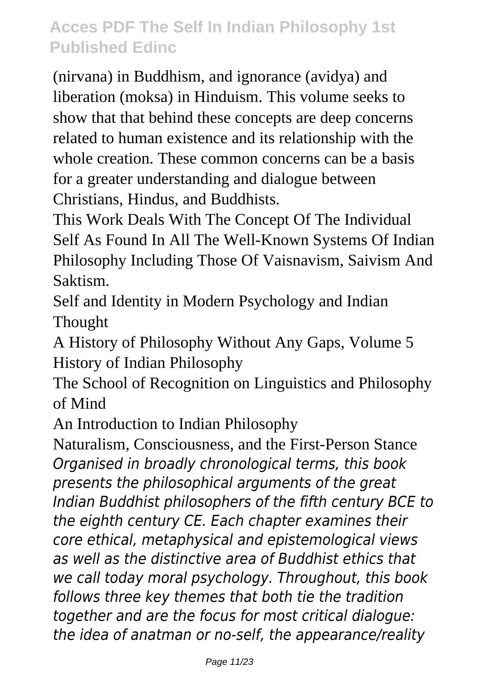(nirvana) in Buddhism, and ignorance (avidya) and liberation (moksa) in Hinduism. This volume seeks to show that that behind these concepts are deep concerns related to human existence and its relationship with the whole creation. These common concerns can be a basis for a greater understanding and dialogue between Christians, Hindus, and Buddhists.

This Work Deals With The Concept Of The Individual Self As Found In All The Well-Known Systems Of Indian Philosophy Including Those Of Vaisnavism, Saivism And Saktism.

Self and Identity in Modern Psychology and Indian Thought

A History of Philosophy Without Any Gaps, Volume 5 History of Indian Philosophy

The School of Recognition on Linguistics and Philosophy of Mind

An Introduction to Indian Philosophy

Naturalism, Consciousness, and the First-Person Stance *Organised in broadly chronological terms, this book presents the philosophical arguments of the great Indian Buddhist philosophers of the fifth century BCE to the eighth century CE. Each chapter examines their core ethical, metaphysical and epistemological views as well as the distinctive area of Buddhist ethics that we call today moral psychology. Throughout, this book follows three key themes that both tie the tradition together and are the focus for most critical dialogue: the idea of anatman or no-self, the appearance/reality*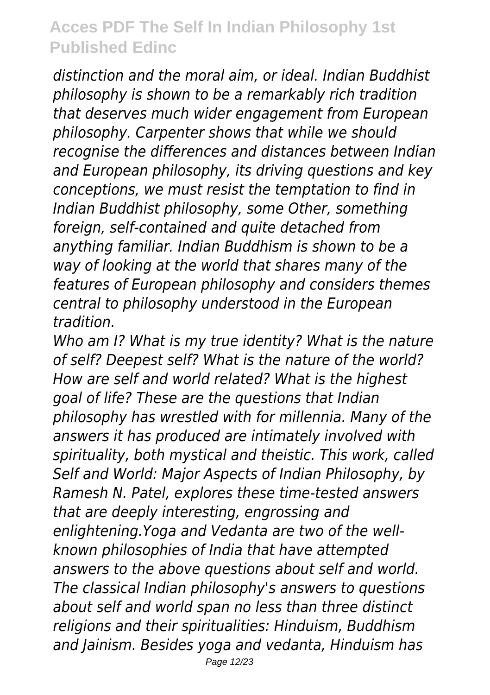*distinction and the moral aim, or ideal. Indian Buddhist philosophy is shown to be a remarkably rich tradition that deserves much wider engagement from European philosophy. Carpenter shows that while we should recognise the differences and distances between Indian and European philosophy, its driving questions and key conceptions, we must resist the temptation to find in Indian Buddhist philosophy, some Other, something foreign, self-contained and quite detached from anything familiar. Indian Buddhism is shown to be a way of looking at the world that shares many of the features of European philosophy and considers themes central to philosophy understood in the European tradition.*

*Who am I? What is my true identity? What is the nature of self? Deepest self? What is the nature of the world? How are self and world related? What is the highest goal of life? These are the questions that Indian philosophy has wrestled with for millennia. Many of the answers it has produced are intimately involved with spirituality, both mystical and theistic. This work, called Self and World: Major Aspects of Indian Philosophy, by Ramesh N. Patel, explores these time-tested answers that are deeply interesting, engrossing and enlightening.Yoga and Vedanta are two of the wellknown philosophies of India that have attempted answers to the above questions about self and world. The classical Indian philosophy's answers to questions about self and world span no less than three distinct religions and their spiritualities: Hinduism, Buddhism and Jainism. Besides yoga and vedanta, Hinduism has*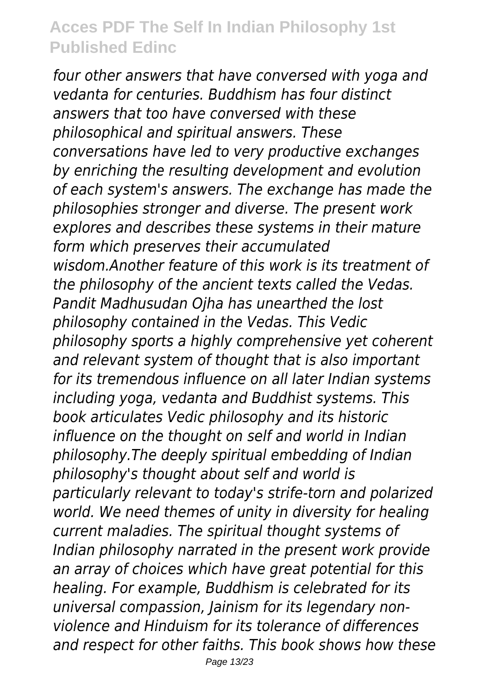*four other answers that have conversed with yoga and vedanta for centuries. Buddhism has four distinct answers that too have conversed with these philosophical and spiritual answers. These conversations have led to very productive exchanges by enriching the resulting development and evolution of each system's answers. The exchange has made the philosophies stronger and diverse. The present work explores and describes these systems in their mature form which preserves their accumulated wisdom.Another feature of this work is its treatment of the philosophy of the ancient texts called the Vedas. Pandit Madhusudan Ojha has unearthed the lost philosophy contained in the Vedas. This Vedic philosophy sports a highly comprehensive yet coherent and relevant system of thought that is also important for its tremendous influence on all later Indian systems including yoga, vedanta and Buddhist systems. This book articulates Vedic philosophy and its historic influence on the thought on self and world in Indian philosophy.The deeply spiritual embedding of Indian philosophy's thought about self and world is particularly relevant to today's strife-torn and polarized world. We need themes of unity in diversity for healing current maladies. The spiritual thought systems of Indian philosophy narrated in the present work provide an array of choices which have great potential for this healing. For example, Buddhism is celebrated for its universal compassion, Jainism for its legendary nonviolence and Hinduism for its tolerance of differences and respect for other faiths. This book shows how these*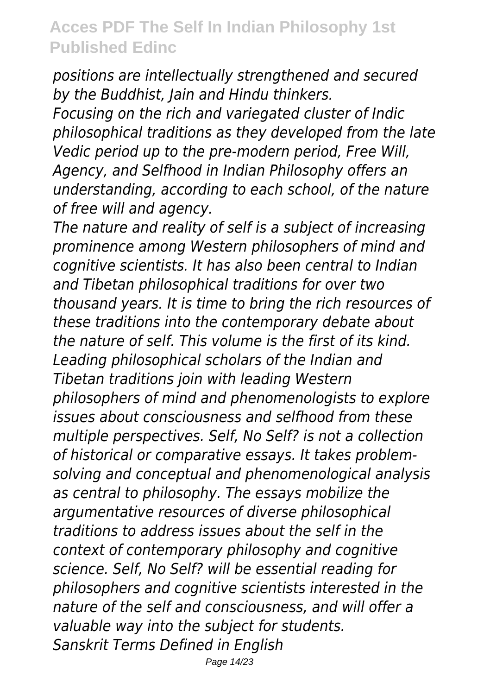*positions are intellectually strengthened and secured by the Buddhist, Jain and Hindu thinkers.*

*Focusing on the rich and variegated cluster of Indic philosophical traditions as they developed from the late Vedic period up to the pre-modern period, Free Will, Agency, and Selfhood in Indian Philosophy offers an understanding, according to each school, of the nature of free will and agency.*

*The nature and reality of self is a subject of increasing prominence among Western philosophers of mind and cognitive scientists. It has also been central to Indian and Tibetan philosophical traditions for over two thousand years. It is time to bring the rich resources of these traditions into the contemporary debate about the nature of self. This volume is the first of its kind. Leading philosophical scholars of the Indian and Tibetan traditions join with leading Western philosophers of mind and phenomenologists to explore issues about consciousness and selfhood from these multiple perspectives. Self, No Self? is not a collection of historical or comparative essays. It takes problemsolving and conceptual and phenomenological analysis as central to philosophy. The essays mobilize the argumentative resources of diverse philosophical traditions to address issues about the self in the context of contemporary philosophy and cognitive science. Self, No Self? will be essential reading for philosophers and cognitive scientists interested in the nature of the self and consciousness, and will offer a valuable way into the subject for students. Sanskrit Terms Defined in English*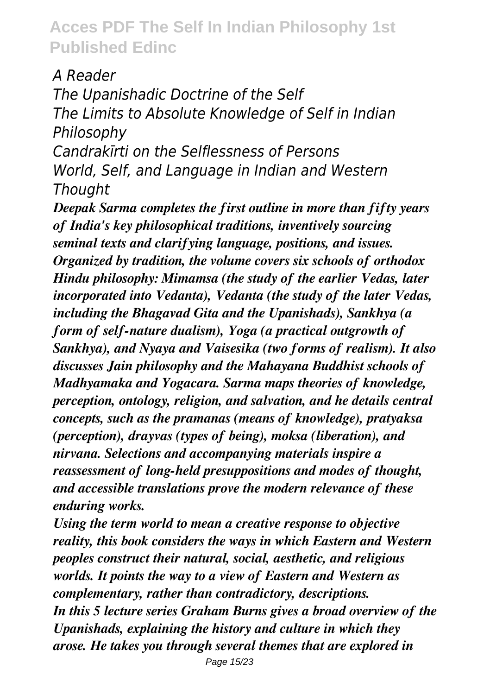#### *A Reader*

*The Upanishadic Doctrine of the Self The Limits to Absolute Knowledge of Self in Indian Philosophy*

*Candrakīrti on the Selflessness of Persons World, Self, and Language in Indian and Western Thought*

*Deepak Sarma completes the first outline in more than fifty years of India's key philosophical traditions, inventively sourcing seminal texts and clarifying language, positions, and issues. Organized by tradition, the volume covers six schools of orthodox Hindu philosophy: Mimamsa (the study of the earlier Vedas, later incorporated into Vedanta), Vedanta (the study of the later Vedas, including the Bhagavad Gita and the Upanishads), Sankhya (a form of self-nature dualism), Yoga (a practical outgrowth of Sankhya), and Nyaya and Vaisesika (two forms of realism). It also discusses Jain philosophy and the Mahayana Buddhist schools of Madhyamaka and Yogacara. Sarma maps theories of knowledge, perception, ontology, religion, and salvation, and he details central concepts, such as the pramanas (means of knowledge), pratyaksa (perception), drayvas (types of being), moksa (liberation), and nirvana. Selections and accompanying materials inspire a reassessment of long-held presuppositions and modes of thought, and accessible translations prove the modern relevance of these enduring works.*

*Using the term world to mean a creative response to objective reality, this book considers the ways in which Eastern and Western peoples construct their natural, social, aesthetic, and religious worlds. It points the way to a view of Eastern and Western as complementary, rather than contradictory, descriptions. In this 5 lecture series Graham Burns gives a broad overview of the Upanishads, explaining the history and culture in which they arose. He takes you through several themes that are explored in*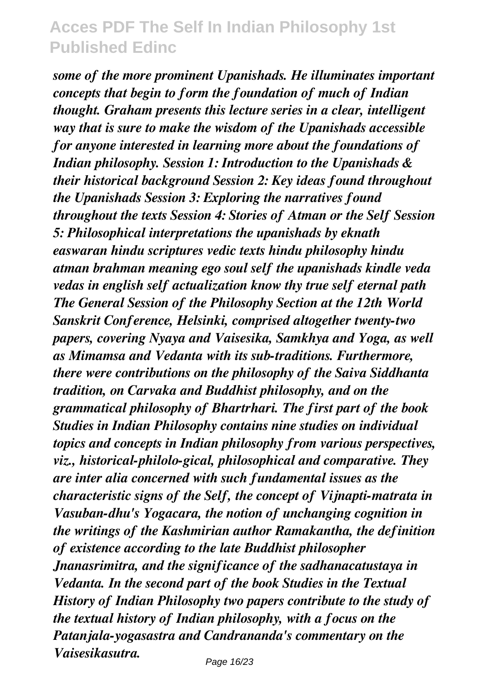*some of the more prominent Upanishads. He illuminates important concepts that begin to form the foundation of much of Indian thought. Graham presents this lecture series in a clear, intelligent way that is sure to make the wisdom of the Upanishads accessible for anyone interested in learning more about the foundations of Indian philosophy. Session 1: Introduction to the Upanishads & their historical background Session 2: Key ideas found throughout the Upanishads Session 3: Exploring the narratives found throughout the texts Session 4: Stories of Atman or the Self Session 5: Philosophical interpretations the upanishads by eknath easwaran hindu scriptures vedic texts hindu philosophy hindu atman brahman meaning ego soul self the upanishads kindle veda vedas in english self actualization know thy true self eternal path The General Session of the Philosophy Section at the 12th World Sanskrit Conference, Helsinki, comprised altogether twenty-two papers, covering Nyaya and Vaisesika, Samkhya and Yoga, as well as Mimamsa and Vedanta with its sub-traditions. Furthermore, there were contributions on the philosophy of the Saiva Siddhanta tradition, on Carvaka and Buddhist philosophy, and on the grammatical philosophy of Bhartrhari. The first part of the book Studies in Indian Philosophy contains nine studies on individual topics and concepts in Indian philosophy from various perspectives, viz., historical-philolo-gical, philosophical and comparative. They are inter alia concerned with such fundamental issues as the characteristic signs of the Self, the concept of Vijnapti-matrata in Vasuban-dhu's Yogacara, the notion of unchanging cognition in the writings of the Kashmirian author Ramakantha, the definition of existence according to the late Buddhist philosopher Jnanasrimitra, and the significance of the sadhanacatustaya in Vedanta. In the second part of the book Studies in the Textual History of Indian Philosophy two papers contribute to the study of the textual history of Indian philosophy, with a focus on the Patanjala-yogasastra and Candrananda's commentary on the Vaisesikasutra.*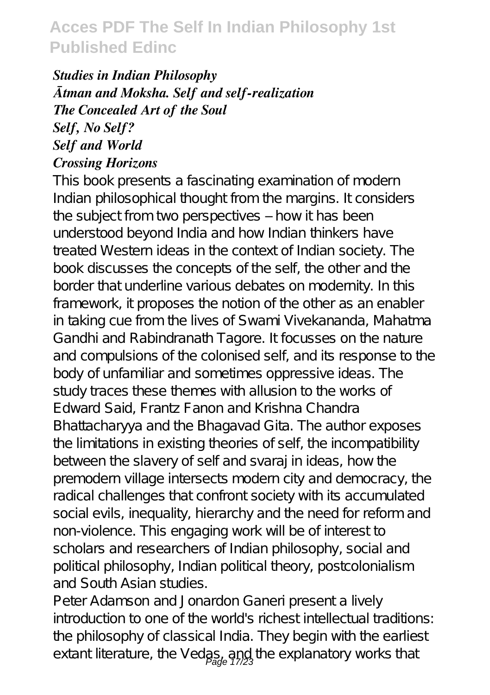#### *Studies in Indian Philosophy Ātman and Moksha. Self and self-realization The Concealed Art of the Soul Self, No Self? Self and World Crossing Horizons*

This book presents a fascinating examination of modern Indian philosophical thought from the margins. It considers the subject from two perspectives – how it has been understood beyond India and how Indian thinkers have treated Western ideas in the context of Indian society. The book discusses the concepts of the self, the other and the border that underline various debates on modernity. In this framework, it proposes the notion of the other as an enabler in taking cue from the lives of Swami Vivekananda, Mahatma Gandhi and Rabindranath Tagore. It focusses on the nature and compulsions of the colonised self, and its response to the body of unfamiliar and sometimes oppressive ideas. The study traces these themes with allusion to the works of Edward Said, Frantz Fanon and Krishna Chandra Bhattacharyya and the Bhagavad Gita. The author exposes the limitations in existing theories of self, the incompatibility between the slavery of self and svaraj in ideas, how the premodern village intersects modern city and democracy, the radical challenges that confront society with its accumulated social evils, inequality, hierarchy and the need for reform and non-violence. This engaging work will be of interest to scholars and researchers of Indian philosophy, social and political philosophy, Indian political theory, postcolonialism and South Asian studies.

Peter Adamson and Jonardon Ganeri present a lively introduction to one of the world's richest intellectual traditions: the philosophy of classical India. They begin with the earliest extant literature, the Vedas, and the explanatory works that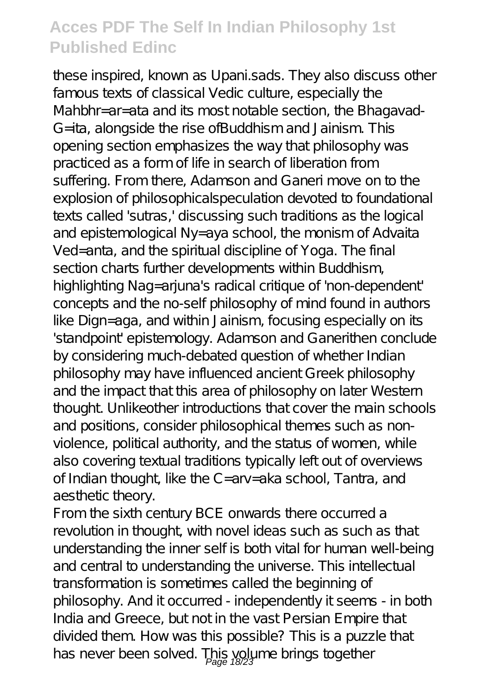these inspired, known as Upani.sads. They also discuss other famous texts of classical Vedic culture, especially the Mahbhr=ar=ata and its most notable section, the Bhagavad-G=ita, alongside the rise ofBuddhism and Jainism. This opening section emphasizes the way that philosophy was practiced as a form of life in search of liberation from suffering. From there, Adamson and Ganeri move on to the explosion of philosophicalspeculation devoted to foundational texts called 'sutras,' discussing such traditions as the logical and epistemological Ny=aya school, the monism of Advaita Ved=anta, and the spiritual discipline of Yoga. The final section charts further developments within Buddhism, highlighting Nag=arjuna's radical critique of 'non-dependent' concepts and the no-self philosophy of mind found in authors like Dign=aga, and within Jainism, focusing especially on its 'standpoint' epistemology. Adamson and Ganerithen conclude by considering much-debated question of whether Indian philosophy may have influenced ancient Greek philosophy and the impact that this area of philosophy on later Western thought. Unlikeother introductions that cover the main schools and positions, consider philosophical themes such as nonviolence, political authority, and the status of women, while also covering textual traditions typically left out of overviews of Indian thought, like the C=arv=aka school, Tantra, and aesthetic theory.

From the sixth century BCE onwards there occurred a revolution in thought, with novel ideas such as such as that understanding the inner self is both vital for human well-being and central to understanding the universe. This intellectual transformation is sometimes called the beginning of philosophy. And it occurred - independently it seems - in both India and Greece, but not in the vast Persian Empire that divided them. How was this possible? This is a puzzle that has never been solved. This yolume brings together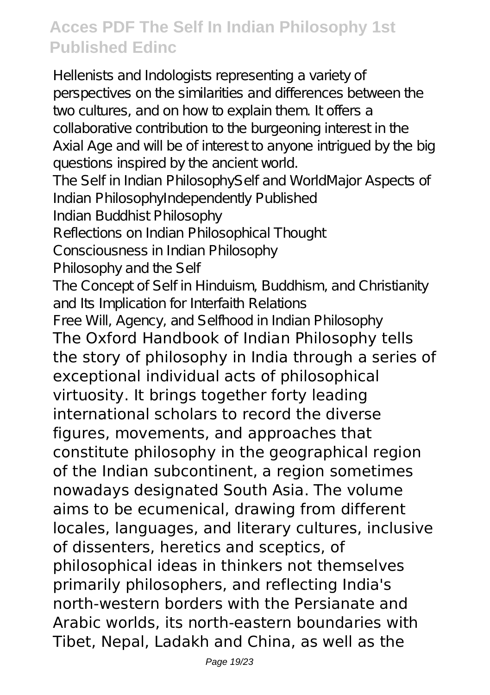Hellenists and Indologists representing a variety of perspectives on the similarities and differences between the two cultures, and on how to explain them. It offers a collaborative contribution to the burgeoning interest in the Axial Age and will be of interest to anyone intrigued by the big questions inspired by the ancient world. The Self in Indian PhilosophySelf and WorldMajor Aspects of Indian PhilosophyIndependently Published Indian Buddhist Philosophy Reflections on Indian Philosophical Thought Consciousness in Indian Philosophy Philosophy and the Self The Concept of Self in Hinduism, Buddhism, and Christianity and Its Implication for Interfaith Relations Free Will, Agency, and Selfhood in Indian Philosophy The Oxford Handbook of Indian Philosophy tells the story of philosophy in India through a series of exceptional individual acts of philosophical virtuosity. It brings together forty leading international scholars to record the diverse figures, movements, and approaches that constitute philosophy in the geographical region of the Indian subcontinent, a region sometimes nowadays designated South Asia. The volume aims to be ecumenical, drawing from different locales, languages, and literary cultures, inclusive of dissenters, heretics and sceptics, of philosophical ideas in thinkers not themselves primarily philosophers, and reflecting India's north-western borders with the Persianate and Arabic worlds, its north-eastern boundaries with Tibet, Nepal, Ladakh and China, as well as the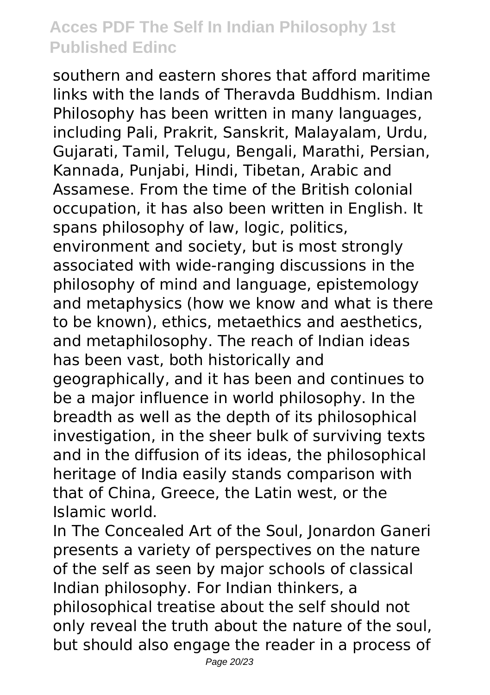southern and eastern shores that afford maritime links with the lands of Theravda Buddhism. Indian Philosophy has been written in many languages, including Pali, Prakrit, Sanskrit, Malayalam, Urdu, Gujarati, Tamil, Telugu, Bengali, Marathi, Persian, Kannada, Punjabi, Hindi, Tibetan, Arabic and Assamese. From the time of the British colonial occupation, it has also been written in English. It spans philosophy of law, logic, politics, environment and society, but is most strongly associated with wide-ranging discussions in the philosophy of mind and language, epistemology and metaphysics (how we know and what is there to be known), ethics, metaethics and aesthetics, and metaphilosophy. The reach of Indian ideas has been vast, both historically and geographically, and it has been and continues to be a major influence in world philosophy. In the breadth as well as the depth of its philosophical investigation, in the sheer bulk of surviving texts and in the diffusion of its ideas, the philosophical heritage of India easily stands comparison with that of China, Greece, the Latin west, or the Islamic world.

In The Concealed Art of the Soul, Jonardon Ganeri presents a variety of perspectives on the nature of the self as seen by major schools of classical Indian philosophy. For Indian thinkers, a philosophical treatise about the self should not only reveal the truth about the nature of the soul, but should also engage the reader in a process of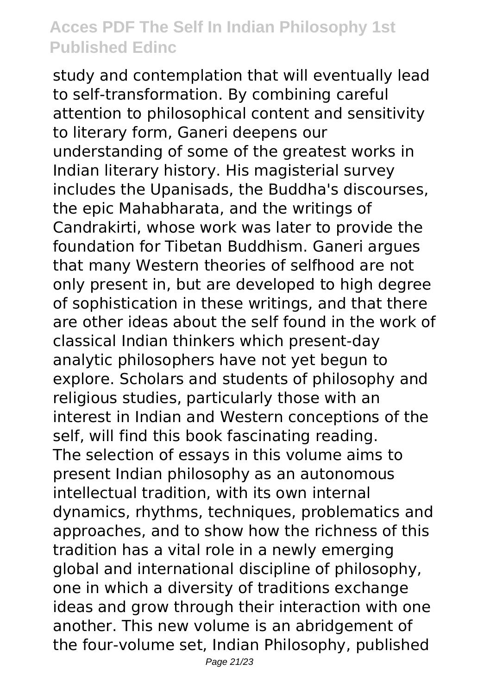study and contemplation that will eventually lead to self-transformation. By combining careful attention to philosophical content and sensitivity to literary form, Ganeri deepens our understanding of some of the greatest works in Indian literary history. His magisterial survey includes the Upanisads, the Buddha's discourses, the epic Mahabharata, and the writings of Candrakirti, whose work was later to provide the foundation for Tibetan Buddhism. Ganeri argues that many Western theories of selfhood are not only present in, but are developed to high degree of sophistication in these writings, and that there are other ideas about the self found in the work of classical Indian thinkers which present-day analytic philosophers have not yet begun to explore. Scholars and students of philosophy and religious studies, particularly those with an interest in Indian and Western conceptions of the self, will find this book fascinating reading. The selection of essays in this volume aims to present Indian philosophy as an autonomous intellectual tradition, with its own internal dynamics, rhythms, techniques, problematics and approaches, and to show how the richness of this tradition has a vital role in a newly emerging global and international discipline of philosophy, one in which a diversity of traditions exchange ideas and grow through their interaction with one another. This new volume is an abridgement of the four-volume set, Indian Philosophy, published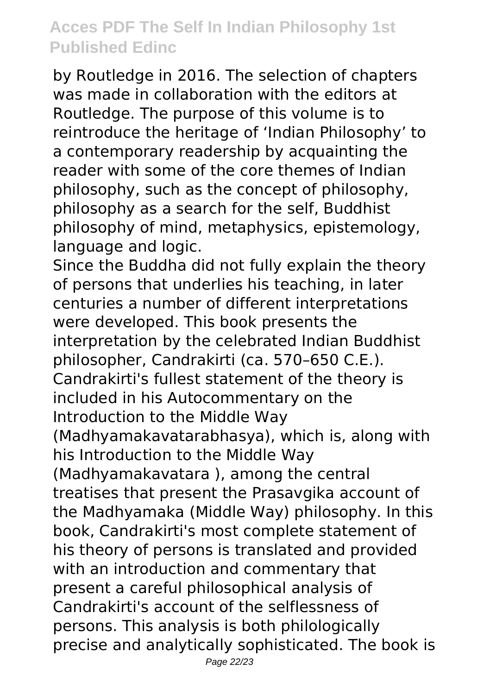by Routledge in 2016. The selection of chapters was made in collaboration with the editors at Routledge. The purpose of this volume is to reintroduce the heritage of 'Indian Philosophy' to a contemporary readership by acquainting the reader with some of the core themes of Indian philosophy, such as the concept of philosophy, philosophy as a search for the self, Buddhist philosophy of mind, metaphysics, epistemology, language and logic.

Since the Buddha did not fully explain the theory of persons that underlies his teaching, in later centuries a number of different interpretations were developed. This book presents the interpretation by the celebrated Indian Buddhist philosopher, Candrakirti (ca. 570–650 C.E.). Candrakirti's fullest statement of the theory is included in his Autocommentary on the Introduction to the Middle Way (Madhyamakavatarabhasya), which is, along with his Introduction to the Middle Way (Madhyamakavatara ), among the central treatises that present the Prasavgika account of the Madhyamaka (Middle Way) philosophy. In this book, Candrakirti's most complete statement of his theory of persons is translated and provided with an introduction and commentary that present a careful philosophical analysis of Candrakirti's account of the selflessness of persons. This analysis is both philologically precise and analytically sophisticated. The book is